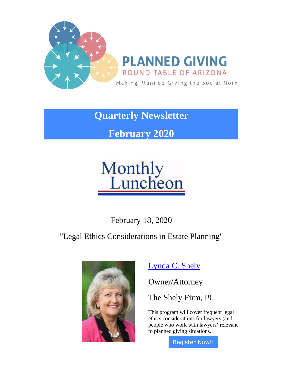

**Quarterly Newsletter**

**February 2020**

# **Monthly**<br>Luncheon

February 18, 2020

"Legal Ethics Considerations in Estate Planning"



[Lynda C. Shely](https://pgrtaz.org/EmailTracker/LinkTracker.ashx?linkAndRecipientCode=5057g6iZO5VRZXrWCprnv3tpuYb1EP6FumMiMR8XxY%2bcbuzDnEoKV9%2fq27dAqbRyqJ6aOlzemIHO25GBm0Kqf68eJQGc2o77ENM9OnsLKxM%3d)

Owner/Attorney

The Shely Firm, PC

This program will cover frequent legal ethics considerations for lawyers (and people who work with lawyers) relevant to planned giving situations.

[Register Now!!](https://pgrtaz.org/EmailTracker/LinkTracker.ashx?linkAndRecipientCode=%2bom%2fG3%2bEysteMD%2fDp2X5ZWGFPdP09vDpttBNO%2fBtjotMsUzX6Lt2EwRdouCHjvoFuZ8d6%2fbhMgpHbZeN4kgICLC5IBTf8TFd5eoVFDwvypk%3d)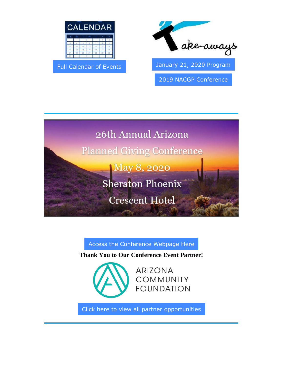

[Full Calendar of Events](https://pgrtaz.org/EmailTracker/LinkTracker.ashx?linkAndRecipientCode=w1DqtB5HYbuNBqcm7QJR%2bXVOhQTOyeb2gGsr%2f84GlnP0xmylPpJ7V7VXXuvj8dOjx6CK8zXy9z6Bhzb0Cj2Ax8WnkRAYuBxfJn9xiPyhMuU%3d) [January 21, 2020 Program](https://pgrtaz.org/EmailTracker/LinkTracker.ashx?linkAndRecipientCode=57FdpCtpXBRGKQDsC9uEo2BSHRsTqB%2flNVnevZdgh6M7lyoMsYP3s%2fqFDWDLj25PFK5Qf4y72%2bp4qJ4xaf%2fe5Ox9MqC5dqJuhh1jIabMKHQ%3d) 



[2019 NACGP Conference](https://pgrtaz.org/EmailTracker/LinkTracker.ashx?linkAndRecipientCode=l%2fV1EWD7Uc6g67YSc01pGyOrwMrH4%2fcFNQT9a9SGo3tw2orpnnD2gOzM%2fwRBlh%2bbExxyckJ92FWVlclobUzAH%2f7tDGJ9tT5KWDzwCtHtYGg%3d) 



#### [Access the Conference Webpage Here](https://pgrtaz.org/EmailTracker/LinkTracker.ashx?linkAndRecipientCode=m2Kwjqhss3uKVeDMtqB1R6h0vQchS95QT5MSg%2bf89A3w3TZcoO6W8S2fbUcDKOm8AWN7R%2b4IySgUqx4OaYkDcZJovWhP%2bhN%2bNAllEN2zJPY%3d)

**Thank You to Our Conference Event Partner!**



**ARIZONA COMMUNITY FOUNDATION** 

[Click here to view all partner opportunities](https://pgrtaz.org/EmailTracker/LinkTracker.ashx?linkAndRecipientCode=XScc%2fxKrKbDBhimaEG5oOb3mem1SZR0%2bDV%2fPCb0mKPEMkdfFfYS5F1lcApq85PratzxxDtDMON4uR6A%2flrUI0bk6LUYoHeSnA%2f4QNxkDWww%3d)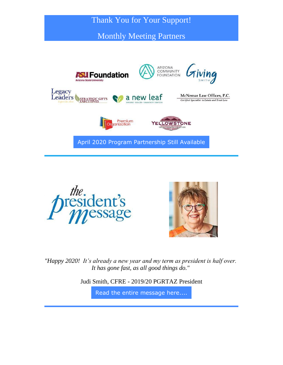### Thank You for Your Support!

Monthly Meeting Partners







*"Happy 2020! It's already a new year and my term as president is half over. It has gone fast, as all good things do."*

Judi Smith, CFRE - 2019/20 PGRTAZ President

[Read the entire message here....](https://pgrtaz.org/EmailTracker/LinkTracker.ashx?linkAndRecipientCode=vKBRKB1cublheknksfAcwDoAo0rP9z%2f8ayF23oYSRoKSHmX9wV2uJPvS0o0yERbdIgcMwko1JiTwTa5B3KvJbmC7Kqh8G5NEk4JhmH2FK%2bU%3d)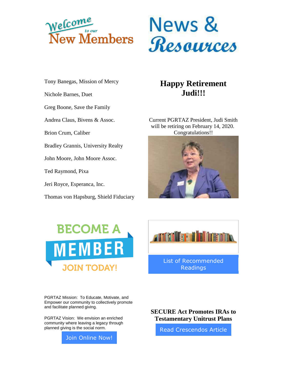



Tony Banegas, Mission of Mercy

Nichole Barnes, Duet

Greg Boone, Save the Family

Andrea Claus, Bivens & Assoc.

Brion Crum, Caliber

Bradley Grannis, University Realty

John Moore, John Moore Assoc.

Ted Raymond, Pixa

Jeri Royce, Esperanca, Inc.

Thomas von Hapsburg, Shield Fiduciary

## **Happy Retirement Judi!!!**

Current PGRTAZ President, Judi Smith will be retiring on February 14, 2020. Congratulations!!





[List of Recommended](https://pgrtaz.org/EmailTracker/LinkTracker.ashx?linkAndRecipientCode=3NmOgrwot9%2fWeXInIaBoW5WsPqQZfWK5wf8vekRr%2b4L0%2fGXa%2bmMb1CUUrXVhh3jJeFNWnwadzBATX%2bVzS51Mow2E%2ftA0a6vq%2fh1%2fLRZSoF0%3d)  [Readings](https://pgrtaz.org/EmailTracker/LinkTracker.ashx?linkAndRecipientCode=3NmOgrwot9%2fWeXInIaBoW5WsPqQZfWK5wf8vekRr%2b4L0%2fGXa%2bmMb1CUUrXVhh3jJeFNWnwadzBATX%2bVzS51Mow2E%2ftA0a6vq%2fh1%2fLRZSoF0%3d) 

Albin Bris

PGRTAZ Mission: To Educate, Motivate, and Empower our community to collectively promote and facilitate planned giving.

PGRTAZ Vision: We envision an enriched community where leaving a legacy through planned giving is the social norm.



**SECURE Act Promotes IRAs to Testamentary Unitrust Plans**

[Read Crescendos Article](https://pgrtaz.org/EmailTracker/LinkTracker.ashx?linkAndRecipientCode=RLt9%2bQVksJ41m7jOv3RodTDkNNaOSRxOWeGfy9KBKXykP6t1ZopKhNJD%2blOtnQ6wQFM1PCb6GeC%2fgSNZuj6pb0BEKpWa1iMjOEM8qzaTXDU%3d)